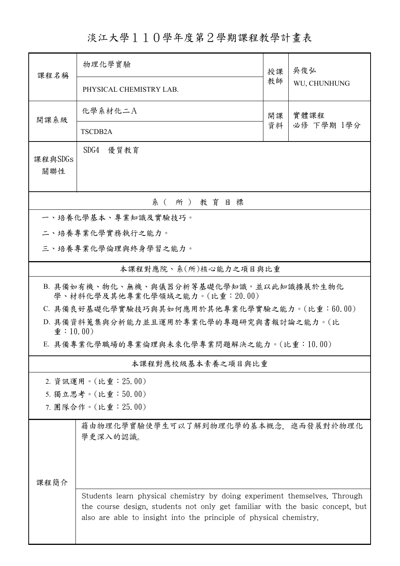## 淡江大學110學年度第2學期課程教學計畫表

| 課程名稱                                                                     | 物理化學實驗                                                                                                                                                                                                                           | 授課<br>教師 | 吴俊弘<br>WU, CHUNHUNG |  |  |  |  |
|--------------------------------------------------------------------------|----------------------------------------------------------------------------------------------------------------------------------------------------------------------------------------------------------------------------------|----------|---------------------|--|--|--|--|
|                                                                          | PHYSICAL CHEMISTRY LAB.                                                                                                                                                                                                          |          |                     |  |  |  |  |
| 開課系級                                                                     | 化學系材化二A                                                                                                                                                                                                                          | 開課<br>資料 | 實體課程<br>必修 下學期 1學分  |  |  |  |  |
|                                                                          | TSCDB <sub>2</sub> A                                                                                                                                                                                                             |          |                     |  |  |  |  |
| 課程與SDGs<br>關聯性                                                           | SDG4 優質教育                                                                                                                                                                                                                        |          |                     |  |  |  |  |
| 系(所)教育目標                                                                 |                                                                                                                                                                                                                                  |          |                     |  |  |  |  |
| 一、培養化學基本、專業知識及實驗技巧。                                                      |                                                                                                                                                                                                                                  |          |                     |  |  |  |  |
|                                                                          | 二、培養專業化學實務執行之能力。                                                                                                                                                                                                                 |          |                     |  |  |  |  |
|                                                                          | 三、培養專業化學倫理與終身學習之能力。                                                                                                                                                                                                              |          |                     |  |  |  |  |
|                                                                          | 本課程對應院、系(所)核心能力之項目與比重                                                                                                                                                                                                            |          |                     |  |  |  |  |
| B. 具備如有機、物化、無機、與儀器分析等基礎化學知識,並以此知識擴展於生物化<br>學、材料化學及其他專業化學領域之能力。(比重:20.00) |                                                                                                                                                                                                                                  |          |                     |  |  |  |  |
|                                                                          | C. 具備良好基礎化學實驗技巧與其如何應用於其他專業化學實驗之能力。(比重:60.00)                                                                                                                                                                                     |          |                     |  |  |  |  |
| $\hat{\mathbf{\Phi}}$ : 10.00)                                           | D. 具備資料蒐集與分析能力並且運用於專業化學的專題研究與書報討論之能力。(比                                                                                                                                                                                          |          |                     |  |  |  |  |
|                                                                          | E. 具備專業化學職場的專業倫理與未來化學專業問題解決之能力。(比重:10.00)                                                                                                                                                                                        |          |                     |  |  |  |  |
| 本課程對應校級基本素養之項目與比重                                                        |                                                                                                                                                                                                                                  |          |                     |  |  |  |  |
|                                                                          | 2. 資訊運用。(比重: 25.00)                                                                                                                                                                                                              |          |                     |  |  |  |  |
|                                                                          | 5. 獨立思考。(比重:50.00)                                                                                                                                                                                                               |          |                     |  |  |  |  |
|                                                                          | 7. 團隊合作。(比重: 25.00)                                                                                                                                                                                                              |          |                     |  |  |  |  |
|                                                                          | 藉由物理化學實驗使學生可以了解到物理化學的基本概念, 進而發展對於物理化<br>學更深入的認識。                                                                                                                                                                                 |          |                     |  |  |  |  |
| 课程简介                                                                     |                                                                                                                                                                                                                                  |          |                     |  |  |  |  |
|                                                                          | Students learn physical chemistry by doing experiment themselves. Through<br>the course design, students not only get familiar with the basic concept, but<br>also are able to insight into the principle of physical chemistry. |          |                     |  |  |  |  |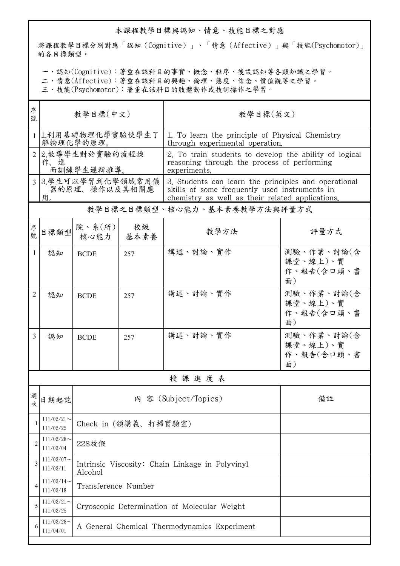## 本課程教學目標與認知、情意、技能目標之對應

將課程教學目標分別對應「認知(Cognitive)」、「情意(Affective)」與「技能(Psychomotor)」 的各目標類型。

一、認知(Cognitive):著重在該科目的事實、概念、程序、後設認知等各類知識之學習。

二、情意(Affective):著重在該科目的興趣、倫理、態度、信念、價值觀等之學習。

三、技能(Psychomotor):著重在該科目的肢體動作或技術操作之學習。

| 序<br>號 | 教學目標(中文)                                  |                                                            |                      | 教學目標(英文)                                                                                                                                                  |                                            |  |  |
|--------|-------------------------------------------|------------------------------------------------------------|----------------------|-----------------------------------------------------------------------------------------------------------------------------------------------------------|--------------------------------------------|--|--|
|        | 1.利用基礎物理化學實驗使學生了<br>解物理化學的原理。             |                                                            |                      | 1. To learn the principle of Physical Chemistry<br>through experimental operation.                                                                        |                                            |  |  |
|        | 2.教導學生對於實驗的流程操<br>作,進<br>而訓練學生邏輯推導。       |                                                            |                      | 2. To train students to develop the ability of logical<br>reasoning through the process of performing<br>experiments.                                     |                                            |  |  |
|        | 3 3.學生可以學習到化學領域常用儀<br>器的原理、操作以及其相關應<br>用。 |                                                            |                      | 3. Students can learn the principles and operational<br>skills of some frequently used instruments in<br>chemistry as well as their related applications. |                                            |  |  |
|        |                                           |                                                            |                      | 教學目標之目標類型、核心能力、基本素養教學方法與評量方式                                                                                                                              |                                            |  |  |
| 序號     | 目標類型                                      | 院、系 $(\text{m})$<br>核心能力                                   | 校級<br>基本素養           | 教學方法                                                                                                                                                      | 評量方式                                       |  |  |
| 1      | 認知                                        | <b>BCDE</b>                                                | 257                  | 講述、討論、實作                                                                                                                                                  | 測驗、作業、討論(含<br>課堂、線上)、實<br>作、報告(含口頭、書<br>面) |  |  |
| 2      | 認知                                        | <b>BCDE</b>                                                | 257                  | 講述、討論、實作                                                                                                                                                  | 測驗、作業、討論(含<br>課堂、線上)、實<br>作、報告(含口頭、書<br>面) |  |  |
| 3      | 認知                                        | <b>BCDE</b>                                                | 257                  | 講述、討論、實作                                                                                                                                                  | 測驗、作業、討論(含<br>課堂、線上)、實<br>作、報告(含口頭、書<br>面) |  |  |
|        |                                           |                                                            |                      | 授課進度表                                                                                                                                                     |                                            |  |  |
| 週<br>次 | 日期起訖                                      |                                                            | 內 容 (Subject/Topics) | 備註                                                                                                                                                        |                                            |  |  |
|        | $111/02/21$ ~<br>111/02/25                | Check in (領講義、打掃實驗室)                                       |                      |                                                                                                                                                           |                                            |  |  |
| 2      | $111/02/28$ ~<br>111/03/04                | 228放假                                                      |                      |                                                                                                                                                           |                                            |  |  |
| 3      | $111/03/07$ ~<br>111/03/11                | Intrinsic Viscosity: Chain Linkage in Polyvinyl<br>Alcohol |                      |                                                                                                                                                           |                                            |  |  |
| 4      | $111/03/14$ ~<br>111/03/18                | Transference Number                                        |                      |                                                                                                                                                           |                                            |  |  |
| 5      | $111/03/21$ ~<br>111/03/25                | Cryoscopic Determination of Molecular Weight               |                      |                                                                                                                                                           |                                            |  |  |
| 6      | $111/03/28$ ~<br>111/04/01                | A General Chemical Thermodynamics Experiment               |                      |                                                                                                                                                           |                                            |  |  |